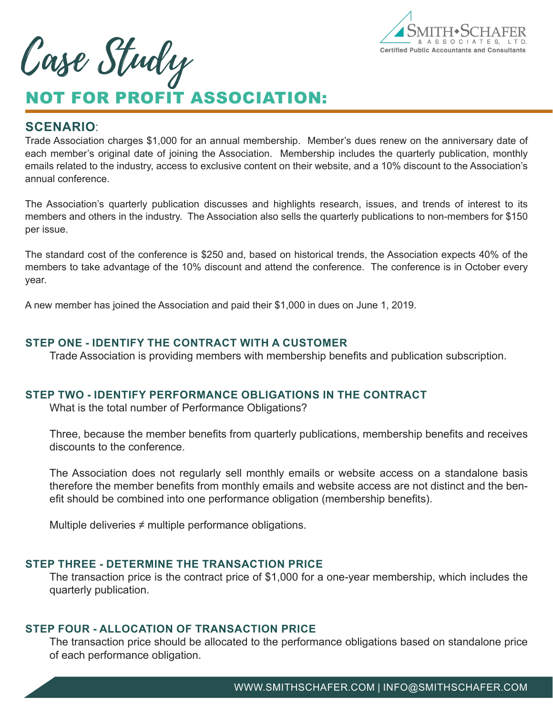

Case Study

# NOT FOR PROFIT ASSOCIATION:

### **SCENARIO**:

Trade Association charges \$1,000 for an annual membership. Member's dues renew on the anniversary date of each member's original date of joining the Association. Membership includes the quarterly publication, monthly emails related to the industry, access to exclusive content on their website, and a 10% discount to the Association's annual conference.

The Association's quarterly publication discusses and highlights research, issues, and trends of interest to its members and others in the industry. The Association also sells the quarterly publications to non-members for \$150 per issue.

The standard cost of the conference is \$250 and, based on historical trends, the Association expects 40% of the members to take advantage of the 10% discount and attend the conference. The conference is in October every year.

A new member has joined the Association and paid their \$1,000 in dues on June 1, 2019.

#### **STEP ONE - IDENTIFY THE CONTRACT WITH A CUSTOMER**

Trade Association is providing members with membership benefits and publication subscription.

#### **STEP TWO - IDENTIFY PERFORMANCE OBLIGATIONS IN THE CONTRACT**

What is the total number of Performance Obligations?

Three, because the member benefits from quarterly publications, membership benefits and receives discounts to the conference.

The Association does not regularly sell monthly emails or website access on a standalone basis therefore the member benefits from monthly emails and website access are not distinct and the benefit should be combined into one performance obligation (membership benefits).

Multiple deliveries  $\neq$  multiple performance obligations.

## **STEP THREE - DETERMINE THE TRANSACTION PRICE**

The transaction price is the contract price of \$1,000 for a one-year membership, which includes the quarterly publication.

# **STEP FOUR - ALLOCATION OF TRANSACTION PRICE**

The transaction price should be allocated to the performance obligations based on standalone price of each performance obligation.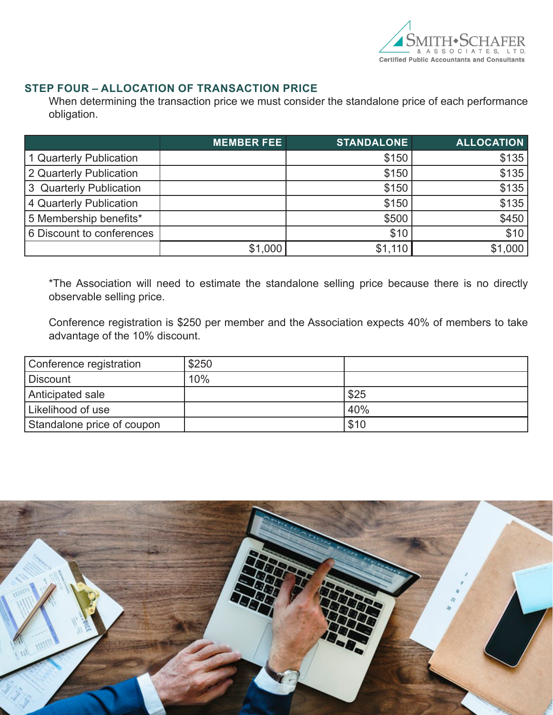

#### **STEP FOUR – ALLOCATION OF TRANSACTION PRICE**

When determining the transaction price we must consider the standalone price of each performance obligation.

|                           | <b>MEMBER FEE</b> | <b>STANDALONE</b> | <b>ALLOCATION</b> |
|---------------------------|-------------------|-------------------|-------------------|
| 1 Quarterly Publication   |                   | \$150             | \$135             |
| 2 Quarterly Publication   |                   | \$150             | \$135             |
| 3 Quarterly Publication   |                   | \$150             | \$135             |
| 4 Quarterly Publication   |                   | \$150             | \$135             |
| 5 Membership benefits*    |                   | \$500             | \$450             |
| 6 Discount to conferences |                   | \$10              | \$10              |
|                           | \$1,000           | \$1,110           | \$1,000           |

\*The Association will need to estimate the standalone selling price because there is no directly observable selling price.

Conference registration is \$250 per member and the Association expects 40% of members to take advantage of the 10% discount.

| Conference registration    | \$250 |      |
|----------------------------|-------|------|
| Discount                   | 10%   |      |
| Anticipated sale           |       | \$25 |
| Likelihood of use          |       | 40%  |
| Standalone price of coupon |       | \$10 |